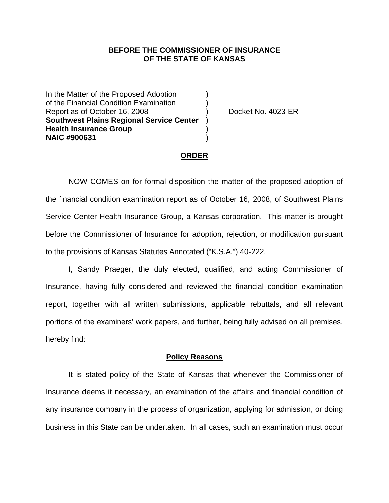## **BEFORE THE COMMISSIONER OF INSURANCE OF THE STATE OF KANSAS**

In the Matter of the Proposed Adoption of the Financial Condition Examination ) Report as of October 16, 2008 (a) Procket No. 4023-ER **Southwest Plains Regional Service Center** ) **Health Insurance Group** ) **NAIC #900631** )

### **ORDER**

 NOW COMES on for formal disposition the matter of the proposed adoption of the financial condition examination report as of October 16, 2008, of Southwest Plains Service Center Health Insurance Group, a Kansas corporation. This matter is brought before the Commissioner of Insurance for adoption, rejection, or modification pursuant to the provisions of Kansas Statutes Annotated ("K.S.A.") 40-222.

 I, Sandy Praeger, the duly elected, qualified, and acting Commissioner of Insurance, having fully considered and reviewed the financial condition examination report, together with all written submissions, applicable rebuttals, and all relevant portions of the examiners' work papers, and further, being fully advised on all premises, hereby find:

#### **Policy Reasons**

 It is stated policy of the State of Kansas that whenever the Commissioner of Insurance deems it necessary, an examination of the affairs and financial condition of any insurance company in the process of organization, applying for admission, or doing business in this State can be undertaken. In all cases, such an examination must occur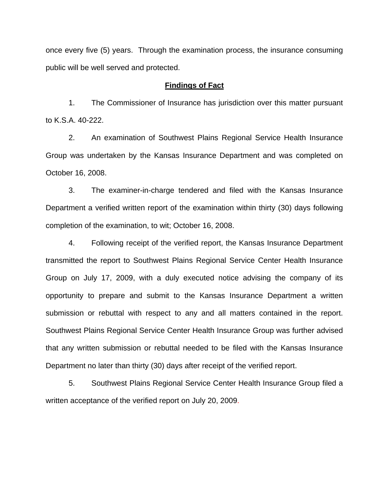once every five (5) years. Through the examination process, the insurance consuming public will be well served and protected.

## **Findings of Fact**

 1. The Commissioner of Insurance has jurisdiction over this matter pursuant to K.S.A. 40-222.

 2. An examination of Southwest Plains Regional Service Health Insurance Group was undertaken by the Kansas Insurance Department and was completed on October 16, 2008.

 3. The examiner-in-charge tendered and filed with the Kansas Insurance Department a verified written report of the examination within thirty (30) days following completion of the examination, to wit; October 16, 2008.

 4. Following receipt of the verified report, the Kansas Insurance Department transmitted the report to Southwest Plains Regional Service Center Health Insurance Group on July 17, 2009, with a duly executed notice advising the company of its opportunity to prepare and submit to the Kansas Insurance Department a written submission or rebuttal with respect to any and all matters contained in the report. Southwest Plains Regional Service Center Health Insurance Group was further advised that any written submission or rebuttal needed to be filed with the Kansas Insurance Department no later than thirty (30) days after receipt of the verified report.

 5. Southwest Plains Regional Service Center Health Insurance Group filed a written acceptance of the verified report on July 20, 2009.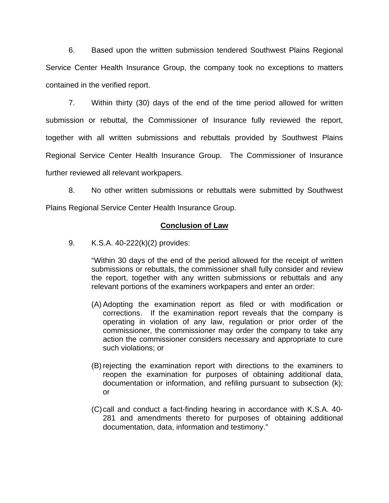6. Based upon the written submission tendered Southwest Plains Regional Service Center Health Insurance Group, the company took no exceptions to matters contained in the verified report.

 7. Within thirty (30) days of the end of the time period allowed for written submission or rebuttal, the Commissioner of Insurance fully reviewed the report, together with all written submissions and rebuttals provided by Southwest Plains Regional Service Center Health Insurance Group. The Commissioner of Insurance further reviewed all relevant workpapers.

 8. No other written submissions or rebuttals were submitted by Southwest Plains Regional Service Center Health Insurance Group.

# **Conclusion of Law**

9. K.S.A. 40-222(k)(2) provides:

"Within 30 days of the end of the period allowed for the receipt of written submissions or rebuttals, the commissioner shall fully consider and review the report, together with any written submissions or rebuttals and any relevant portions of the examiners workpapers and enter an order:

- (A) Adopting the examination report as filed or with modification or corrections. If the examination report reveals that the company is operating in violation of any law, regulation or prior order of the commissioner, the commissioner may order the company to take any action the commissioner considers necessary and appropriate to cure such violations; or
- (B) rejecting the examination report with directions to the examiners to reopen the examination for purposes of obtaining additional data, documentation or information, and refiling pursuant to subsection (k); or
- (C) call and conduct a fact-finding hearing in accordance with K.S.A. 40- 281 and amendments thereto for purposes of obtaining additional documentation, data, information and testimony."